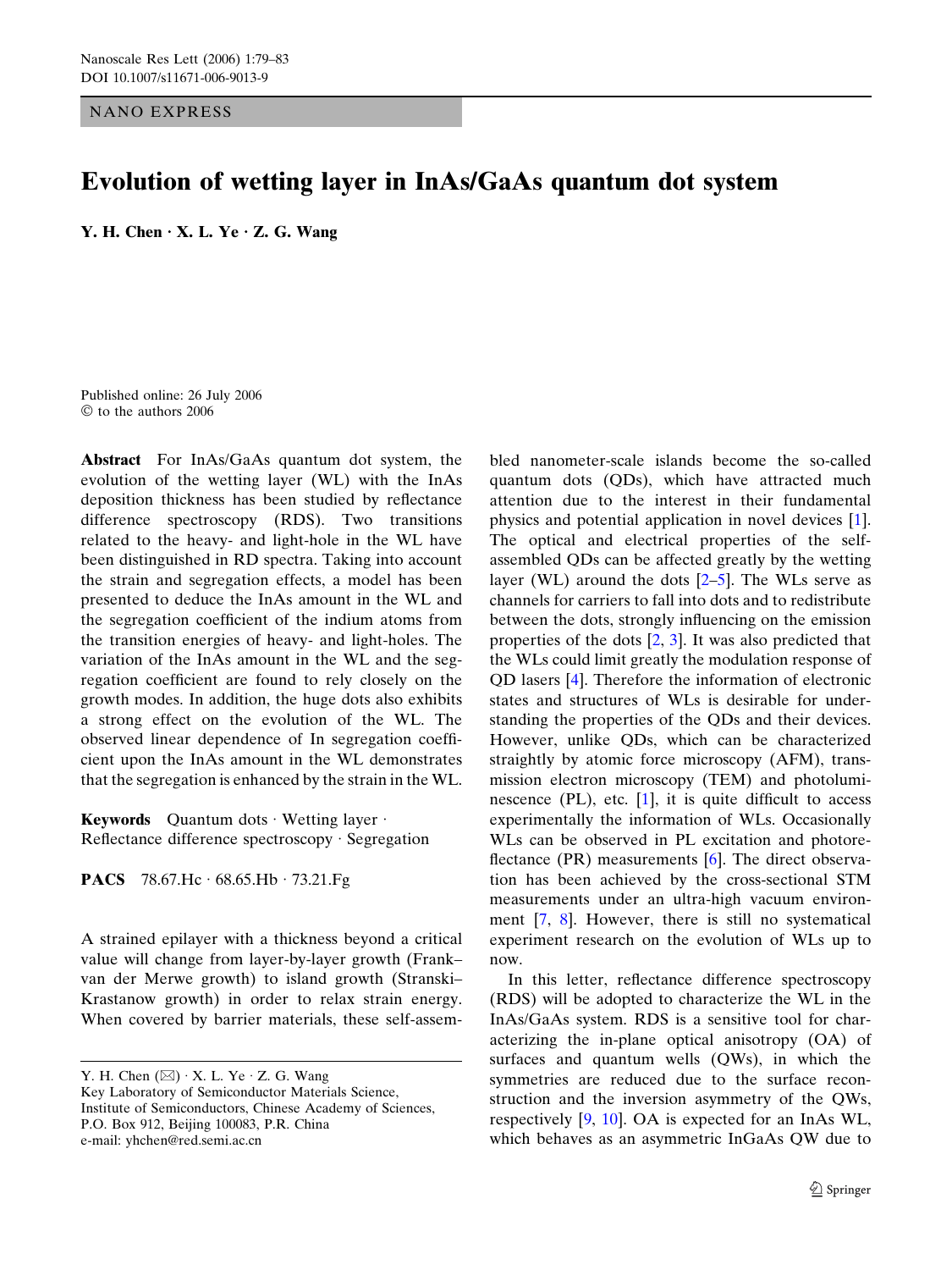NANO EXPRESS

## Evolution of wetting layer in InAs/GaAs quantum dot system

Y. H. Chen  $\cdot$  X. L. Ye  $\cdot$  Z. G. Wang

Published online: 26 July 2006  $\heartsuit$  to the authors 2006

Abstract For InAs/GaAs quantum dot system, the evolution of the wetting layer (WL) with the InAs deposition thickness has been studied by reflectance difference spectroscopy (RDS). Two transitions related to the heavy- and light-hole in the WL have been distinguished in RD spectra. Taking into account the strain and segregation effects, a model has been presented to deduce the InAs amount in the WL and the segregation coefficient of the indium atoms from the transition energies of heavy- and light-holes. The variation of the InAs amount in the WL and the segregation coefficient are found to rely closely on the growth modes. In addition, the huge dots also exhibits a strong effect on the evolution of the WL. The observed linear dependence of In segregation coefficient upon the InAs amount in the WL demonstrates that the segregation is enhanced by the strain in the WL.

Keywords Quantum dots · Wetting layer · Reflectance difference spectroscopy  $\cdot$  Segregation

**PACS** 78.67.Hc  $\cdot$  68.65.Hb  $\cdot$  73.21.Fg

A strained epilayer with a thickness beyond a critical value will change from layer-by-layer growth (Frank– van der Merwe growth) to island growth (Stranski– Krastanow growth) in order to relax strain energy. When covered by barrier materials, these self-assem-

Y. H. Chen  $(\boxtimes) \cdot X$ . L. Ye  $\cdot Z$ . G. Wang Key Laboratory of Semiconductor Materials Science, Institute of Semiconductors, Chinese Academy of Sciences, P.O. Box 912, Beijing 100083, P.R. China e-mail: yhchen@red.semi.ac.cn

bled nanometer-scale islands become the so-called quantum dots (QDs), which have attracted much attention due to the interest in their fundamental physics and potential application in novel devices [[1\]](#page-3-0). The optical and electrical properties of the selfassembled QDs can be affected greatly by the wetting layer (WL) around the dots  $[2-5]$ . The WLs serve as channels for carriers to fall into dots and to redistribute between the dots, strongly influencing on the emission properties of the dots [\[2](#page-3-0), [3\]](#page-3-0). It was also predicted that the WLs could limit greatly the modulation response of QD lasers [\[4](#page-3-0)]. Therefore the information of electronic states and structures of WLs is desirable for understanding the properties of the QDs and their devices. However, unlike QDs, which can be characterized straightly by atomic force microscopy (AFM), transmission electron microscopy (TEM) and photoluminescence  $(PL)$ , etc.  $[1]$  $[1]$ , it is quite difficult to access experimentally the information of WLs. Occasionally WLs can be observed in PL excitation and photore-flectance (PR) measurements [\[6](#page-3-0)]. The direct observation has been achieved by the cross-sectional STM measurements under an ultra-high vacuum environment [\[7](#page-3-0), [8](#page-4-0)]. However, there is still no systematical experiment research on the evolution of WLs up to now.

In this letter, reflectance difference spectroscopy (RDS) will be adopted to characterize the WL in the InAs/GaAs system. RDS is a sensitive tool for characterizing the in-plane optical anisotropy (OA) of surfaces and quantum wells (QWs), in which the symmetries are reduced due to the surface reconstruction and the inversion asymmetry of the QWs, respectively [\[9](#page-4-0), [10](#page-4-0)]. OA is expected for an InAs WL, which behaves as an asymmetric InGaAs QW due to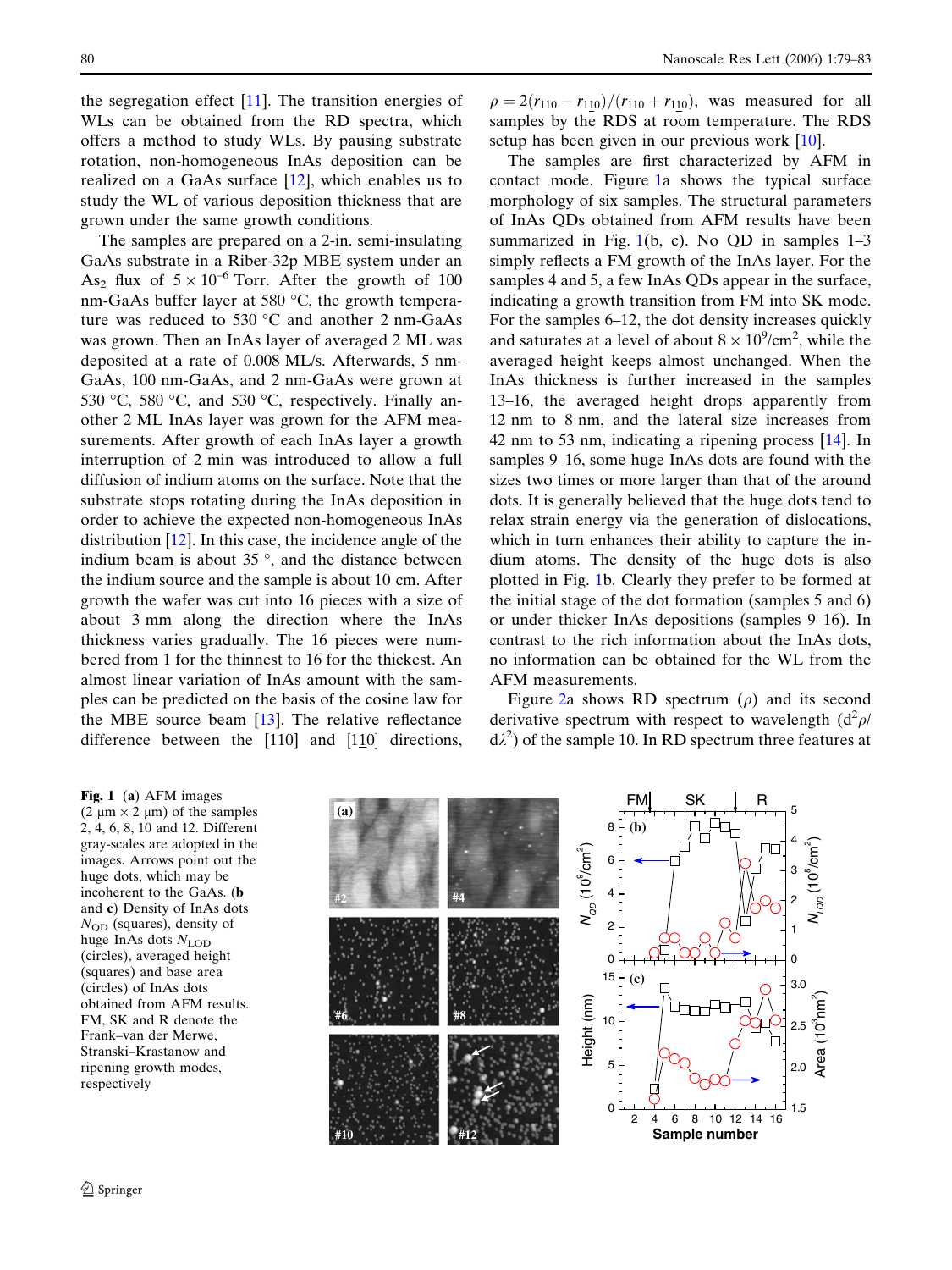the segregation effect  $[11]$  $[11]$ . The transition energies of WLs can be obtained from the RD spectra, which offers a method to study WLs. By pausing substrate rotation, non-homogeneous InAs deposition can be realized on a GaAs surface [[12](#page-4-0)], which enables us to study the WL of various deposition thickness that are grown under the same growth conditions.

The samples are prepared on a 2-in. semi-insulating GaAs substrate in a Riber-32p MBE system under an As<sub>2</sub> flux of  $5 \times 10^{-6}$  Torr. After the growth of 100 nm-GaAs buffer layer at 580  $^{\circ}$ C, the growth temperature was reduced to 530  $\degree$ C and another 2 nm-GaAs was grown. Then an InAs layer of averaged 2 ML was deposited at a rate of 0.008 ML/s. Afterwards, 5 nm-GaAs, 100 nm-GaAs, and 2 nm-GaAs were grown at 530 °C, 580 °C, and 530 °C, respectively. Finally another 2 ML InAs layer was grown for the AFM measurements. After growth of each InAs layer a growth interruption of 2 min was introduced to allow a full diffusion of indium atoms on the surface. Note that the substrate stops rotating during the InAs deposition in order to achieve the expected non-homogeneous InAs distribution [[12\]](#page-4-0). In this case, the incidence angle of the indium beam is about  $35^{\circ}$ , and the distance between the indium source and the sample is about 10 cm. After growth the wafer was cut into 16 pieces with a size of about 3 mm along the direction where the InAs thickness varies gradually. The 16 pieces were numbered from 1 for the thinnest to 16 for the thickest. An almost linear variation of InAs amount with the samples can be predicted on the basis of the cosine law for the MBE source beam [[13\]](#page-4-0). The relative reflectance difference between the  $[110]$  and  $[110]$  directions,

 $\rho = 2(r_{110} - r_{110})/(r_{110} + r_{110})$ , was measured for all samples by the RDS at room temperature. The RDS setup has been given in our previous work [\[10](#page-4-0)].

The samples are first characterized by AFM in contact mode. Figure 1a shows the typical surface morphology of six samples. The structural parameters of InAs QDs obtained from AFM results have been summarized in Fig.  $1(b, c)$ . No QD in samples  $1-3$ simply reflects a FM growth of the InAs layer. For the samples 4 and 5, a few InAs QDs appear in the surface, indicating a growth transition from FM into SK mode. For the samples 6–12, the dot density increases quickly and saturates at a level of about  $8 \times 10^9/\text{cm}^2$ , while the averaged height keeps almost unchanged. When the InAs thickness is further increased in the samples 13–16, the averaged height drops apparently from 12 nm to 8 nm, and the lateral size increases from 42 nm to 53 nm, indicating a ripening process [[14\]](#page-4-0). In samples 9–16, some huge InAs dots are found with the sizes two times or more larger than that of the around dots. It is generally believed that the huge dots tend to relax strain energy via the generation of dislocations, which in turn enhances their ability to capture the indium atoms. The density of the huge dots is also plotted in Fig. 1b. Clearly they prefer to be formed at the initial stage of the dot formation (samples 5 and 6) or under thicker InAs depositions (samples 9–16). In contrast to the rich information about the InAs dots, no information can be obtained for the WL from the AFM measurements.

Figure [2](#page-2-0)a shows RD spectrum  $(\rho)$  and its second derivative spectrum with respect to wavelength  $(d^2 \rho/d)$  $d\lambda^2$ ) of the sample 10. In RD spectrum three features at

Fig. 1 (a) AFM images  $(2 \mu m \times 2 \mu m)$  of the samples 2, 4, 6, 8, 10 and 12. Different gray-scales are adopted in the images. Arrows point out the huge dots, which may be incoherent to the GaAs. (b and c) Density of InAs dots  $N_{\rm QD}$  (squares), density of huge InAs dots  $N_{\text{LOD}}$ (circles), averaged height (squares) and base area (circles) of InAs dots obtained from AFM results. FM, SK and R denote the Frank–van der Merwe, Stranski–Krastanow and ripening growth modes, respectively

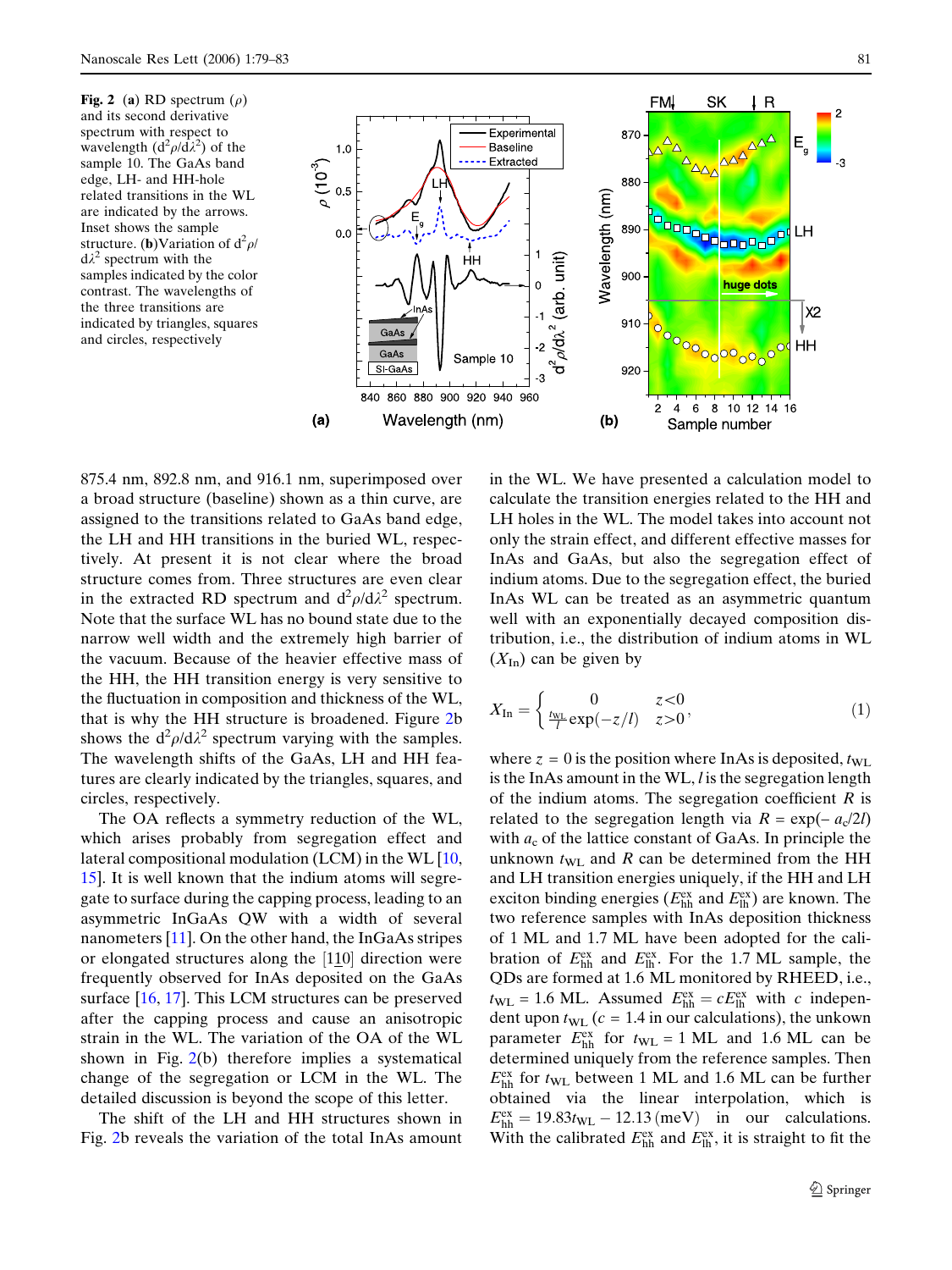<span id="page-2-0"></span>Fig. 2 (a) RD spectrum  $(\rho)$ and its second derivative spectrum with respect to wavelength  $(d^2 \rho/d\lambda^2)$  of the sample 10. The GaAs band edge, LH- and HH-hole related transitions in the WL are indicated by the arrows. Inset shows the sample structure. (**b**)Variation of  $d^2 \rho$ /  $d\lambda^2$  spectrum with the samples indicated by the color contrast. The wavelengths of the three transitions are indicated by triangles, squares and circles, respectively



875.4 nm, 892.8 nm, and 916.1 nm, superimposed over a broad structure (baseline) shown as a thin curve, are assigned to the transitions related to GaAs band edge, the LH and HH transitions in the buried WL, respectively. At present it is not clear where the broad structure comes from. Three structures are even clear in the extracted RD spectrum and  $d^2 \rho / d \lambda^2$  spectrum. Note that the surface WL has no bound state due to the narrow well width and the extremely high barrier of the vacuum. Because of the heavier effective mass of the HH, the HH transition energy is very sensitive to the fluctuation in composition and thickness of the WL, that is why the HH structure is broadened. Figure 2b shows the  $d^2 \rho / d \lambda^2$  spectrum varying with the samples. The wavelength shifts of the GaAs, LH and HH features are clearly indicated by the triangles, squares, and circles, respectively.

The OA reflects a symmetry reduction of the WL, which arises probably from segregation effect and lateral compositional modulation (LCM) in the WL [\[10](#page-4-0), [15](#page-4-0)]. It is well known that the indium atoms will segregate to surface during the capping process, leading to an asymmetric InGaAs QW with a width of several nanometers [[11\]](#page-4-0). On the other hand, the InGaAs stripes or elongated structures along the [110] direction were frequently observed for InAs deposited on the GaAs surface [[16,](#page-4-0) [17\]](#page-4-0). This LCM structures can be preserved after the capping process and cause an anisotropic strain in the WL. The variation of the OA of the WL shown in Fig. 2(b) therefore implies a systematical change of the segregation or LCM in the WL. The detailed discussion is beyond the scope of this letter.

The shift of the LH and HH structures shown in Fig. 2b reveals the variation of the total InAs amount

in the WL. We have presented a calculation model to calculate the transition energies related to the HH and LH holes in the WL. The model takes into account not only the strain effect, and different effective masses for InAs and GaAs, but also the segregation effect of indium atoms. Due to the segregation effect, the buried InAs WL can be treated as an asymmetric quantum well with an exponentially decayed composition distribution, i.e., the distribution of indium atoms in WL  $(X<sub>In</sub>)$  can be given by

$$
X_{\text{In}} = \begin{cases} 0 & z < 0\\ \frac{\hbar \mathbf{v} \cdot \mathbf{r}}{l} \exp(-z/l) & z > 0 \end{cases},\tag{1}
$$

where  $z = 0$  is the position where InAs is deposited,  $t_{\text{WL}}$ is the InAs amount in the WL,  $l$  is the segregation length of the indium atoms. The segregation coefficient  $R$  is related to the segregation length via  $R = \exp(-a_c/2l)$ with  $a_c$  of the lattice constant of GaAs. In principle the unknown  $t_{\text{WL}}$  and R can be determined from the HH and LH transition energies uniquely, if the HH and LH exciton binding energies ( $E_{hh}^{ex}$  and  $E_{lh}^{ex}$ ) are known. The two reference samples with InAs deposition thickness of 1 ML and 1.7 ML have been adopted for the calibration of  $E_{hh}^{ex}$  and  $E_{lh}^{ex}$ . For the 1.7 ML sample, the QDs are formed at 1.6 ML monitored by RHEED, i.e.,  $t_{\text{WL}} = 1.6 \text{ ML}$ . Assumed  $E_{\text{hh}}^{\text{ex}} = c E_{\text{lh}}^{\text{ex}}$  with c independent upon  $t_{\text{WL}}$  ( $c = 1.4$  in our calculations), the unkown parameter  $E_{hh}^{ex}$  for  $t_{WL} = 1$  ML and 1.6 ML can be determined uniquely from the reference samples. Then  $E_{hh}^{ex}$  for  $t_{WL}$  between 1 ML and 1.6 ML can be further obtained via the linear interpolation, which is  $E_{hh}^{ex} = 19.83t_{WL} - 12.13$  (meV) in our calculations. With the calibrated  $E_{hh}^{ex}$  and  $E_{lh}^{ex}$ , it is straight to fit the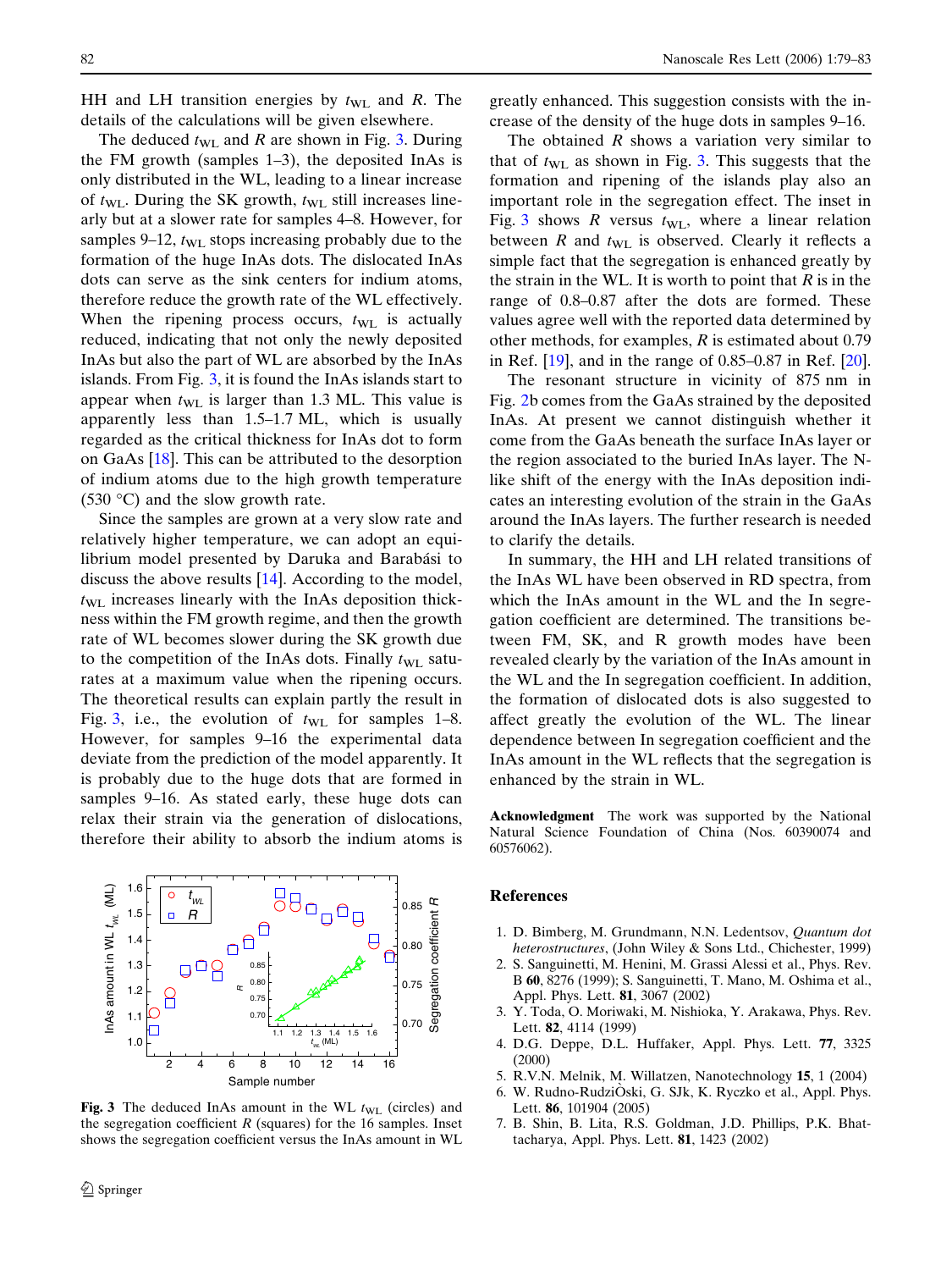<span id="page-3-0"></span>HH and LH transition energies by  $t_{\text{WL}}$  and R. The details of the calculations will be given elsewhere.

The deduced  $t_{\text{WL}}$  and R are shown in Fig. 3. During the FM growth (samples 1–3), the deposited InAs is only distributed in the WL, leading to a linear increase of  $t_{\text{WL}}$ . During the SK growth,  $t_{\text{WL}}$  still increases linearly but at a slower rate for samples 4–8. However, for samples 9–12,  $t_{\text{WL}}$  stops increasing probably due to the formation of the huge InAs dots. The dislocated InAs dots can serve as the sink centers for indium atoms, therefore reduce the growth rate of the WL effectively. When the ripening process occurs,  $t_{\text{WL}}$  is actually reduced, indicating that not only the newly deposited InAs but also the part of WL are absorbed by the InAs islands. From Fig. 3, it is found the InAs islands start to appear when  $t_{\text{WL}}$  is larger than 1.3 ML. This value is apparently less than 1.5–1.7 ML, which is usually regarded as the critical thickness for InAs dot to form on GaAs [\[18\]](#page-4-0). This can be attributed to the desorption of indium atoms due to the high growth temperature  $(530 \degree C)$  and the slow growth rate.

Since the samples are grown at a very slow rate and relatively higher temperature, we can adopt an equilibrium model presented by Daruka and Barabási to discuss the above results [\[14](#page-4-0)]. According to the model,  $t_{\text{WL}}$  increases linearly with the InAs deposition thickness within the FM growth regime, and then the growth rate of WL becomes slower during the SK growth due to the competition of the InAs dots. Finally  $t_{\text{WL}}$  saturates at a maximum value when the ripening occurs. The theoretical results can explain partly the result in Fig. 3, i.e., the evolution of  $t_{\text{WL}}$  for samples 1–8. However, for samples 9–16 the experimental data deviate from the prediction of the model apparently. It is probably due to the huge dots that are formed in samples 9–16. As stated early, these huge dots can relax their strain via the generation of dislocations, therefore their ability to absorb the indium atoms is



Fig. 3 The deduced InAs amount in the WL  $t_{\text{WL}}$  (circles) and the segregation coefficient  $R$  (squares) for the 16 samples. Inset shows the segregation coefficient versus the InAs amount in WL

greatly enhanced. This suggestion consists with the increase of the density of the huge dots in samples 9–16.

The obtained  $R$  shows a variation very similar to that of  $t_{\text{WL}}$  as shown in Fig. 3. This suggests that the formation and ripening of the islands play also an important role in the segregation effect. The inset in Fig. 3 shows R versus  $t_{\text{WL}}$ , where a linear relation between  $R$  and  $t_{\text{WL}}$  is observed. Clearly it reflects a simple fact that the segregation is enhanced greatly by the strain in the WL. It is worth to point that  $R$  is in the range of 0.8–0.87 after the dots are formed. These values agree well with the reported data determined by other methods, for examples,  $R$  is estimated about 0.79 in Ref. [\[19](#page-4-0)], and in the range of 0.85–0.87 in Ref. [[20\]](#page-4-0).

The resonant structure in vicinity of 875 nm in Fig. [2](#page-2-0)b comes from the GaAs strained by the deposited InAs. At present we cannot distinguish whether it come from the GaAs beneath the surface InAs layer or the region associated to the buried InAs layer. The Nlike shift of the energy with the InAs deposition indicates an interesting evolution of the strain in the GaAs around the InAs layers. The further research is needed to clarify the details.

In summary, the HH and LH related transitions of the InAs WL have been observed in RD spectra, from which the InAs amount in the WL and the In segregation coefficient are determined. The transitions between FM, SK, and R growth modes have been revealed clearly by the variation of the InAs amount in the WL and the In segregation coefficient. In addition, the formation of dislocated dots is also suggested to affect greatly the evolution of the WL. The linear dependence between In segregation coefficient and the InAs amount in the WL reflects that the segregation is enhanced by the strain in WL.

Acknowledgment The work was supported by the National Natural Science Foundation of China (Nos. 60390074 and 60576062).

## References

- 1. D. Bimberg, M. Grundmann, N.N. Ledentsov, Quantum dot heterostructures, (John Wiley & Sons Ltd., Chichester, 1999)
- 2. S. Sanguinetti, M. Henini, M. Grassi Alessi et al., Phys. Rev. B 60, 8276 (1999); S. Sanguinetti, T. Mano, M. Oshima et al., Appl. Phys. Lett. **81**, 3067 (2002)
- 3. Y. Toda, O. Moriwaki, M. Nishioka, Y. Arakawa, Phys. Rev. Lett. 82, 4114 (1999)
- 4. D.G. Deppe, D.L. Huffaker, Appl. Phys. Lett. 77, 3325 (2000)
- 5. R.V.N. Melnik, M. Willatzen, Nanotechnology 15, 1 (2004)
- 6. W. Rudno-RudziÓski, G. SJk, K. Ryczko et al., Appl. Phys. Lett. 86, 101904 (2005)
- 7. B. Shin, B. Lita, R.S. Goldman, J.D. Phillips, P.K. Bhattacharya, Appl. Phys. Lett. 81, 1423 (2002)